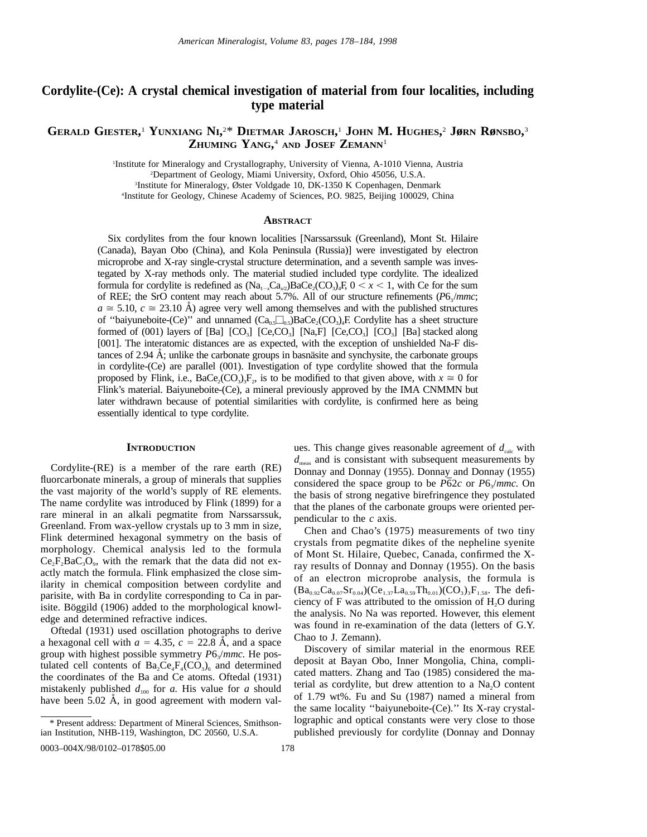# **Cordylite-(Ce): A crystal chemical investigation of material from four localities, including type material**

# **GERALD GIESTER,** <sup>1</sup> **YUNXIANG NI,** 2 \* **DIETMAR JAROSCH,** <sup>1</sup> **JOHN M. HUGHES,** <sup>2</sup> **JøRN RøNSBO,** 3 **ZHUMING YANG,** <sup>4</sup> **AND JOSEF ZEMANN**<sup>1</sup>

 Institute for Mineralogy and Crystallography, University of Vienna, A-1010 Vienna, Austria Department of Geology, Miami University, Oxford, Ohio 45056, U.S.A. Institute for Mineralogy, Øster Voldgade 10, DK-1350 K Copenhagen, Denmark Institute for Geology, Chinese Academy of Sciences, P.O. 9825, Beijing 100029, China

# **ABSTRACT**

Six cordylites from the four known localities [Narssarssuk (Greenland), Mont St. Hilaire (Canada), Bayan Obo (China), and Kola Peninsula (Russia)] were investigated by electron microprobe and X-ray single-crystal structure determination, and a seventh sample was investegated by X-ray methods only. The material studied included type cordylite. The idealized formula for cordylite is redefined as  $(Na_{1}Ca_{1}^2)BaCe_2(CO_3)$ .  $F, 0 < x < 1$ , with Ce for the sum of REE; the SrO content may reach about 5.7%. All of our structure refinements  $(P6<sub>3</sub>/mmc;$  $a \approx 5.10$ ,  $c \approx 23.10$  Å) agree very well among themselves and with the published structures of "baiyuneboite-(Ce)" and unnamed  $(Ca_0, \Box_0, BaCe_2(CO_3)_4F$ . Cordylite has a sheet structure formed of (001) layers of [Ba]  $[CO_3]$   $[Ce, CO_3]$   $[Na, F]$   $[Ce, CO_3]$   $[CO_3]$   $[Ba]$  stacked along [001]. The interatomic distances are as expected, with the exception of unshielded Na-F distances of  $2.94 \text{ Å}$ ; unlike the carbonate groups in basnassite and synchysite, the carbonate groups in cordylite-(Ce) are parallel (001). Investigation of type cordylite showed that the formula proposed by Flink, i.e., BaCe<sub>2</sub>(CO<sub>3</sub>)<sub>3</sub>F<sub>2</sub>, is to be modified to that given above, with  $x \approx 0$  for Flink's material. Baiyuneboite-(Ce), a mineral previously approved by the IMA CNMMN but later withdrawn because of potential similarities with cordylite, is confirmed here as being essentially identical to type cordylite.

### **INTRODUCTION**

Cordylite-(RE) is a member of the rare earth (RE) fluorcarbonate minerals, a group of minerals that supplies the vast majority of the world's supply of RE elements. The name cordylite was introduced by Flink (1899) for a rare mineral in an alkali pegmatite from Narssarssuk, Greenland. From wax-yellow crystals up to 3 mm in size, Flink determined hexagonal symmetry on the basis of morphology. Chemical analysis led to the formula  $Ce_2F_2Ba_3O_9$ , with the remark that the data did not exactly match the formula. Flink emphasized the close similarity in chemical composition between cordylite and parisite, with Ba in cordylite corresponding to Ca in parisite. Böggild (1906) added to the morphological knowledge and determined refractive indices.

Oftedal (1931) used oscillation photographs to derive a hexagonal cell with  $a = 4.35$ ,  $c = 22.8$  Å, and a space group with highest possible symmetry *P6<sub>3</sub>/mmc*. He postulated cell contents of  $Ba_2Ce_4F_4(CO_3)$  and determined the coordinates of the Ba and Ce atoms. Oftedal (1931) mistakenly published  $d_{100}$  for  $a$ . His value for  $a$  should have been  $5.02$  Å, in good agreement with modern values. This change gives reasonable agreement of  $d_{\text{calc}}$  with  $d_{\text{meas}}$  and is consistant with subsequent measurements by Donnay and Donnay (1955). Donnay and Donnay (1955) considered the space group to be  $\overline{P62c}$  or  $P6\sqrt{mmc}$ . On the basis of strong negative birefringence they postulated that the planes of the carbonate groups were oriented perpendicular to the *c* axis.

Chen and Chao's (1975) measurements of two tiny crystals from pegmatite dikes of the nepheline syenite of Mont St. Hilaire, Quebec, Canada, confirmed the Xray results of Donnay and Donnay (1955). On the basis of an electron microprobe analysis, the formula is  $(Ba_{0.92}Ca_{0.07}Sr_{0.04})(Ce_{1.37}La_{0.59}Th_{0.01})(CO_3)_3F_{1.58}$ . The deficiency of  $F$  was attributed to the omission of  $H<sub>2</sub>O$  during the analysis. No Na was reported. However, this element was found in re-examination of the data (letters of G.Y. Chao to J. Zemann).

Discovery of similar material in the enormous REE deposit at Bayan Obo, Inner Mongolia, China, complicated matters. Zhang and Tao (1985) considered the material as cordylite, but drew attention to a  $Na<sub>2</sub>O$  content of 1.79 wt%. Fu and Su (1987) named a mineral from the same locality ''baiyuneboite-(Ce).'' Its X-ray crystallographic and optical constants were very close to those published previously for cordylite (Donnay and Donnay

<sup>\*</sup> Present address: Department of Mineral Sciences, Smithsonian Institution, NHB-119, Washington, DC 20560, U.S.A.

<sup>0003–004</sup>X/98/0102–0178\$05.00 178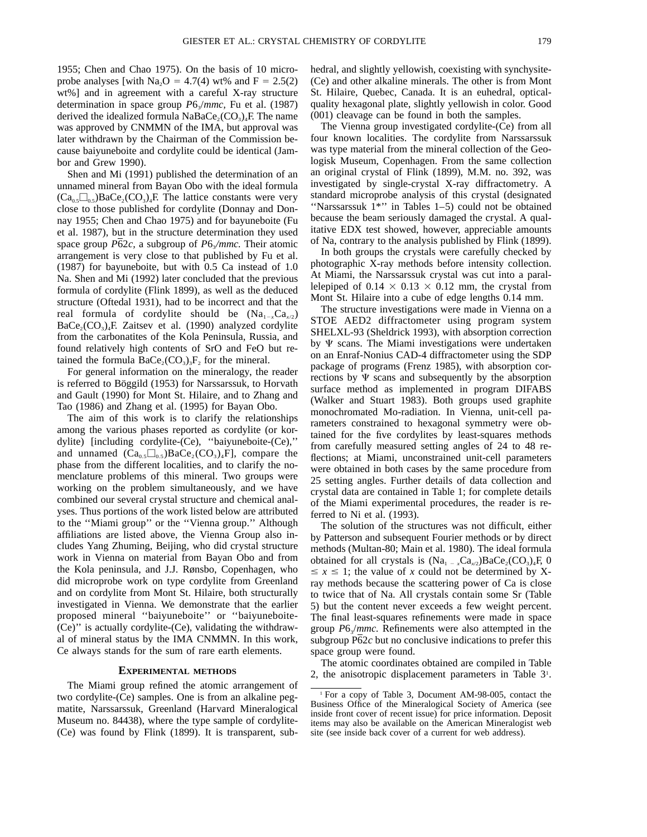1955; Chen and Chao 1975). On the basis of 10 microprobe analyses [with Na<sub>2</sub>O = 4.7(4) wt% and F = 2.5(2) wt%] and in agreement with a careful X-ray structure determination in space group *P*6<sub>3</sub>/*mmc*, Fu et al. (1987) derived the idealized formula  $NaBaCe<sub>2</sub>(CO<sub>3</sub>)<sub>4</sub>F$ . The name was approved by CNMMN of the IMA, but approval was later withdrawn by the Chairman of the Commission because baiyuneboite and cordylite could be identical (Jambor and Grew 1990).

Shen and Mi (1991) published the determination of an unnamed mineral from Bayan Obo with the ideal formula  $(Ca_{0.5}\Box_{0.5})BaCe_2(CO_3)_4F$ . The lattice constants were very close to those published for cordylite (Donnay and Donnay 1955; Chen and Chao 1975) and for bayuneboite (Fu et al. 1987), but in the structure determination they used space group  $\overline{P62c}$ , a subgroup of  $P6\sqrt{mmc}$ . Their atomic arrangement is very close to that published by Fu et al. (1987) for bayuneboite, but with 0.5 Ca instead of 1.0 Na. Shen and Mi (1992) later concluded that the previous formula of cordylite (Flink 1899), as well as the deduced structure (Oftedal 1931), had to be incorrect and that the real formula of cordylite should be  $(Na_{1-x}Ca_{x/2})$  $BaCe<sub>2</sub>(CO<sub>3</sub>)<sub>4</sub>F. Zaitsev et al. (1990) analyzed cordylite$ from the carbonatites of the Kola Peninsula, Russia, and found relatively high contents of SrO and FeO but retained the formula  $\text{BaCe}_2(\text{CO}_3)$ <sub>3</sub>F<sub>2</sub> for the mineral.

For general information on the mineralogy, the reader is referred to Böggild (1953) for Narssarssuk, to Horvath and Gault (1990) for Mont St. Hilaire, and to Zhang and Tao (1986) and Zhang et al. (1995) for Bayan Obo.

The aim of this work is to clarify the relationships among the various phases reported as cordylite (or kordylite) [including cordylite-(Ce), ''baiyuneboite-(Ce),'' and unnamed  $(Ca_{0.5}\square_{0.5})BaCe_2(CO_3)_4F$ , compare the phase from the different localities, and to clarify the nomenclature problems of this mineral. Two groups were working on the problem simultaneously, and we have combined our several crystal structure and chemical analyses. Thus portions of the work listed below are attributed to the ''Miami group'' or the ''Vienna group.'' Although affiliations are listed above, the Vienna Group also includes Yang Zhuming, Beijing, who did crystal structure work in Vienna on material from Bayan Obo and from the Kola peninsula, and J.J. Rønsbo, Copenhagen, who did microprobe work on type cordylite from Greenland and on cordylite from Mont St. Hilaire, both structurally investigated in Vienna. We demonstrate that the earlier proposed mineral ''baiyuneboite'' or ''baiyuneboite- (Ce)'' is actually cordylite-(Ce), validating the withdrawal of mineral status by the IMA CNMMN. In this work, Ce always stands for the sum of rare earth elements.

#### **EXPERIMENTAL METHODS**

The Miami group refined the atomic arrangement of two cordylite-(Ce) samples. One is from an alkaline pegmatite, Narssarssuk, Greenland (Harvard Mineralogical Museum no. 84438), where the type sample of cordylite- (Ce) was found by Flink (1899). It is transparent, sub-

hedral, and slightly yellowish, coexisting with synchysite- (Ce) and other alkaline minerals. The other is from Mont St. Hilaire, Quebec, Canada. It is an euhedral, opticalquality hexagonal plate, slightly yellowish in color. Good (001) cleavage can be found in both the samples.

The Vienna group investigated cordylite-(Ce) from all four known localities. The cordylite from Narssarssuk was type material from the mineral collection of the Geologisk Museum, Copenhagen. From the same collection an original crystal of Flink (1899), M.M. no. 392, was investigated by single-crystal X-ray diffractometry. A standard microprobe analysis of this crystal (designated ''Narssarssuk 1\*'' in Tables 1–5) could not be obtained because the beam seriously damaged the crystal. A qualitative EDX test showed, however, appreciable amounts of Na, contrary to the analysis published by Flink (1899).

In both groups the crystals were carefully checked by photographic X-ray methods before intensity collection. At Miami, the Narssarssuk crystal was cut into a parallelepiped of  $0.14 \times 0.13 \times 0.12$  mm, the crystal from Mont St. Hilaire into a cube of edge lengths 0.14 mm.

The structure investigations were made in Vienna on a STOE AED2 diffractometer using program system SHELXL-93 (Sheldrick 1993), with absorption correction by  $\Psi$  scans. The Miami investigations were undertaken on an Enraf-Nonius CAD-4 diffractometer using the SDP package of programs (Frenz 1985), with absorption corrections by  $\Psi$  scans and subsequently by the absorption surface method as implemented in program DIFABS (Walker and Stuart 1983). Both groups used graphite monochromated Mo-radiation. In Vienna, unit-cell parameters constrained to hexagonal symmetry were obtained for the five cordylites by least-squares methods from carefully measured setting angles of 24 to 48 reflections; at Miami, unconstrained unit-cell parameters were obtained in both cases by the same procedure from 25 setting angles. Further details of data collection and crystal data are contained in Table 1; for complete details of the Miami experimental procedures, the reader is referred to Ni et al. (1993).

The solution of the structures was not difficult, either by Patterson and subsequent Fourier methods or by direct methods (Multan-80; Main et al. 1980). The ideal formula obtained for all crystals is  $(Na_1 - Ca_{1/2})BaCe_2(CO_3)$ <sub>4</sub>F, 0  $\leq x \leq 1$ ; the value of *x* could not be determined by Xray methods because the scattering power of Ca is close to twice that of Na. All crystals contain some Sr (Table 5) but the content never exceeds a few weight percent. The final least-squares refinements were made in space group *P*63/*mmc.* Refinements were also attempted in the subgroup P62*c* but no conclusive indications to prefer this space group were found.

The atomic coordinates obtained are compiled in Table 2, the anisotropic displacement parameters in Table 31 .

<sup>1</sup> For a copy of Table 3, Document AM-98-005, contact the Business Office of the Mineralogical Society of America (see inside front cover of recent issue) for price information. Deposit items may also be available on the American Mineralogist web site (see inside back cover of a current for web address).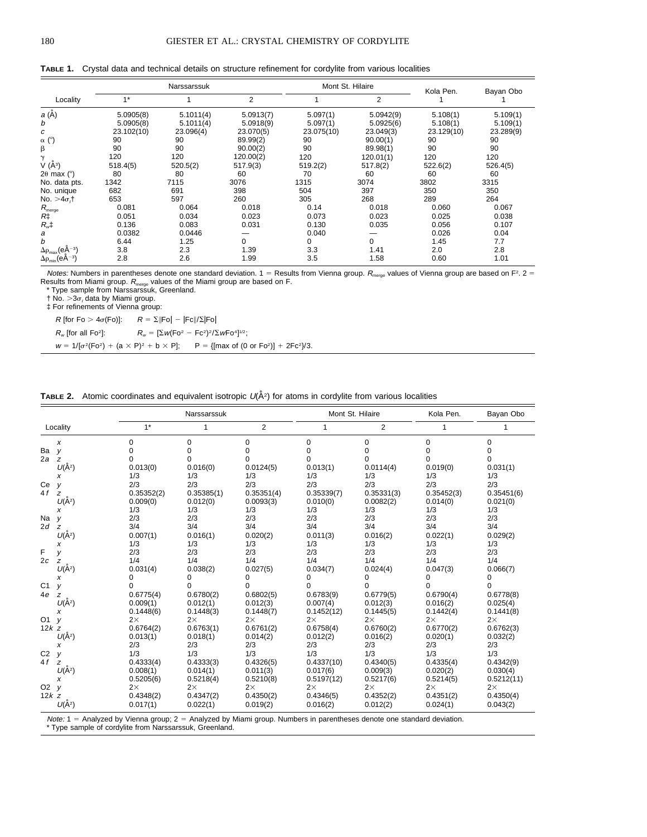|                                                    |            | Narssarssuk |           |            | Mont St. Hilaire | Kola Pen.  | Bayan Obo |
|----------------------------------------------------|------------|-------------|-----------|------------|------------------|------------|-----------|
| Locality                                           | $1*$       |             | 2         |            | 2                |            |           |
| <i>a</i> (Å)                                       | 5.0905(8)  | 5.1011(4)   | 5.0913(7) | 5.097(1)   | 5.0942(9)        | 5.108(1)   | 5.109(1)  |
| b                                                  | 5.0905(8)  | 5.1011(4)   | 5.0918(9) | 5.097(1)   | 5.0925(6)        | 5.108(1)   | 5.109(1)  |
| с                                                  | 23.102(10) | 23.096(4)   | 23.070(5) | 23.075(10) | 23.049(3)        | 23.129(10) | 23.289(9) |
| $\alpha$ ( $^{\circ}$ )                            | 90         | 90          | 89.99(2)  | 90         | 90.00(1)         | 90         | 90        |
| β                                                  | 90         | 90          | 90.00(2)  | 90         | 89.98(1)         | 90         | 90        |
| $\gamma$                                           | 120        | 120         | 120.00(2) | 120        | 120.01(1)        | 120        | 120       |
| V (Å <sup>3</sup> )                                | 518.4(5)   | 520.5(2)    | 517.9(3)  | 519.2(2)   | 517.8(2)         | 522.6(2)   | 526.4(5)  |
| $2\theta$ max ( $\degree$ )                        | 80         | 80          | 60        | 70         | 60               | 60         | 60        |
| No. data pts.                                      | 1342       | 7115        | 3076      | 1315       | 3074             | 3802       | 3315      |
| No. unique                                         | 682        | 691         | 398       | 504        | 397              | 350        | 350       |
| No. $>4\sigma$ <sub>i</sub> t                      | 653        | 597         | 260       | 305        | 268              | 289        | 264       |
| $R_{\text{merge}}$<br>$R\ddagger$                  | 0.081      | 0.064       | 0.018     | 0.14       | 0.018            | 0.060      | 0.067     |
|                                                    | 0.051      | 0.034       | 0.023     | 0.073      | 0.023            | 0.025      | 0.038     |
| $R_{\mu}$ ‡                                        | 0.136      | 0.083       | 0.031     | 0.130      | 0.035            | 0.056      | 0.107     |
| а                                                  | 0.0382     | 0.0446      |           | 0.040      |                  | 0.026      | 0.04      |
| b                                                  | 6.44       | 1.25        | 0         | 0          | 0                | 1.45       | 7.7       |
| $\Delta\rho_\text{max}(\text{e}\text{\AA}{}^{-3})$ | 3.8        | 2.3         | 1.39      | 3.3        | 1.41             | 2.0        | 2.8       |
| $\Delta \rho_{\text{min}}$ (eA <sup>-3</sup> )     | 2.8        | 2.6         | 1.99      | 3.5        | 1.58             | 0.60       | 1.01      |

**TABLE 1.** Crystal data and technical details on structure refinement for cordylite from various localities

Notes: Numbers in parentheses denote one standard deviation.  $1 =$  Results from Vienna group.  $R_{\text{merge}}$  values of Vienna group are based on F<sup>2</sup>. 2 = Results from Miami group.  $R_{\text{merge}}$  values of the Miami group are based on F.<br>\* Type sample from Narssarssuk, Greenland.

 $\dagger$  No.  $>3\sigma$ , data by Miami group.

‡ For refinements of Vienna group:

R [for Fo  $> 4\sigma$ (Fo)]:  $R = \sum ||Fo| - |Fc||/\sum|Fo|$ 

 $R_w$  [for all Fo<sup>2</sup>]:  $R_w = [\Sigma w (\text{Fo}^2 - \text{Fc}^2)^2 / \Sigma w \text{Fo}^4]^{1/2}$ ;

 $w = 1/[\sigma^2(Fo^2) + (a \times P)^2 + b \times P];$  P = {[max of (0 or Fo<sup>2</sup>)] + 2Fc<sup>2</sup>}/3.

**TABLE 2.** Atomic coordinates and equivalent isotropic  $U(\hat{A}^2)$  for atoms in cordylite from various localities

|                |                |            | Narssarssuk |                |             | Mont St. Hilaire | Kola Pen.  | Bayan Obo  |  |
|----------------|----------------|------------|-------------|----------------|-------------|------------------|------------|------------|--|
|                | Locality       | $1*$       | 1           | $\overline{2}$ | 1           | $\overline{2}$   | 1          | 1          |  |
|                | x              | 0          | 0           | 0              | $\mathbf 0$ | 0                | 0          | 0          |  |
| Ba             | y              | 0          | 0           | 0              | 0           | 0                | 0          | 0          |  |
| 2a             | z              | $\Omega$   | 0           | $\Omega$       | $\Omega$    | 0                | $\Omega$   | 0          |  |
|                | $U(\AA^2)$     | 0.013(0)   | 0.016(0)    | 0.0124(5)      | 0.013(1)    | 0.0114(4)        | 0.019(0)   | 0.031(1)   |  |
|                | x              | 1/3        | 1/3         | 1/3            | 1/3         | 1/3              | 1/3        | 1/3        |  |
| Ce             | y              | 2/3        | 2/3         | 2/3            | 2/3         | 2/3              | 2/3        | 2/3        |  |
| 4 f            | z              | 0.35352(2) | 0.35385(1)  | 0.35351(4)     | 0.35339(7)  | 0.35331(3)       | 0.35452(3) | 0.35451(6) |  |
|                | $U(\AA^2)$     | 0.009(0)   | 0.012(0)    | 0.0093(3)      | 0.010(0)    | 0.0082(2)        | 0.014(0)   | 0.021(0)   |  |
|                | x              | 1/3        | 1/3         | 1/3            | 1/3         | 1/3              | 1/3        | 1/3        |  |
| Na             | y              | 2/3        | 2/3         | 2/3            | 2/3         | 2/3              | 2/3        | 2/3        |  |
| 2d             | z              | 3/4        | 3/4         | 3/4            | 3/4         | 3/4              | 3/4        | 3/4        |  |
|                | $U(\AA^2)$     | 0.007(1)   | 0.016(1)    | 0.020(2)       | 0.011(3)    | 0.016(2)         | 0.022(1)   | 0.029(2)   |  |
|                | x              | 1/3        | 1/3         | 1/3            | 1/3         | 1/3              | 1/3        | 1/3        |  |
| F              | y              | 2/3        | 2/3         | 2/3            | 2/3         | 2/3              | 2/3        | 2/3        |  |
| 2c             | z              | 1/4        | 1/4         | 1/4            | 1/4         | 1/4              | 1/4        | 1/4        |  |
|                | $U(\AA^2)$     | 0.031(4)   | 0.038(2)    | 0.027(5)       | 0.034(7)    | 0.024(4)         | 0.047(3)   | 0.066(7)   |  |
|                | х              | 0          | 0           | 0              | 0           | 0                | 0          | 0          |  |
| C <sub>1</sub> | V              | $\Omega$   | $\Omega$    | $\Omega$       | $\Omega$    | $\Omega$         | $\Omega$   | $\Omega$   |  |
| 4e             | z              | 0.6775(4)  | 0.6780(2)   | 0.6802(5)      | 0.6783(9)   | 0.6779(5)        | 0.6790(4)  | 0.6778(8)  |  |
|                | $U(\AA^2)$     | 0.009(1)   | 0.012(1)    | 0.012(3)       | 0.007(4)    | 0.012(3)         | 0.016(2)   | 0.025(4)   |  |
|                | х              | 0.1448(6)  | 0.1448(3)   | 0.1448(7)      | 0.1452(12)  | 0.1445(5)        | 0.1442(4)  | 0.1441(8)  |  |
| O <sub>1</sub> |                | $2\times$  | $2\times$   | $2\times$      | $2\times$   | $2\times$        | $2\times$  | $2\times$  |  |
| $12k$ z        |                | 0.6764(2)  | 0.6763(1)   | 0.6761(2)      | 0.6758(4)   | 0.6760(2)        | 0.6770(2)  | 0.6762(3)  |  |
|                | $U(\AA^2)$     | 0.013(1)   | 0.018(1)    | 0.014(2)       | 0.012(2)    | 0.016(2)         | 0.020(1)   | 0.032(2)   |  |
|                | x              | 2/3        | 2/3         | 2/3            | 2/3         | 2/3              | 2/3        | 2/3        |  |
| C <sub>2</sub> | У              | 1/3        | 1/3         | 1/3            | 1/3         | 1/3              | 1/3        | 1/3        |  |
| 4 f            | z              | 0.4333(4)  | 0.4333(3)   | 0.4326(5)      | 0.4337(10)  | 0.4340(5)        | 0.4335(4)  | 0.4342(9)  |  |
|                | $U(\AA^2)$     | 0.008(1)   | 0.014(1)    | 0.011(3)       | 0.017(6)    | 0.009(3)         | 0.020(2)   | 0.030(4)   |  |
|                | x              | 0.5205(6)  | 0.5218(4)   | 0.5210(8)      | 0.5197(12)  | 0.5217(6)        | 0.5214(5)  | 0.5212(11) |  |
| O <sub>2</sub> | y              | $2\times$  | $2\times$   | $2\times$      | $2\times$   | $2\times$        | $2\times$  | $2\times$  |  |
| $12k$ z        |                | 0.4348(2)  | 0.4347(2)   | 0.4350(2)      | 0.4346(5)   | 0.4352(2)        | 0.4351(2)  | 0.4350(4)  |  |
|                | $U(\bar{A}^2)$ | 0.017(1)   | 0.022(1)    | 0.019(2)       | 0.016(2)    | 0.012(2)         | 0.024(1)   | 0.043(2)   |  |
|                |                |            |             |                |             |                  |            |            |  |

*Note:* 1 = Analyzed by Vienna group; 2 = Analyzed by Miami group. Numbers in parentheses denote one standard deviation.<br>\* Type sample of cordylite from Narssarssuk, Greenland.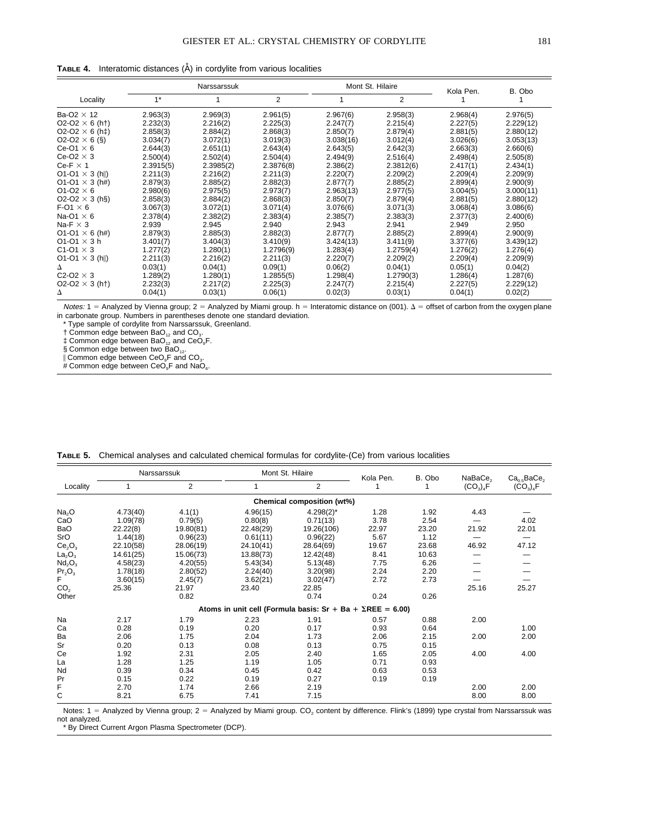| <b>TABLE 4.</b> Interatomic distances $(\hat{A})$ in cordylite from various localities |  |  |  |
|----------------------------------------------------------------------------------------|--|--|--|
|                                                                                        |  |  |  |

|                                           | Narssarssuk |           |           |           | Mont St. Hilaire | Kola Pen. | B. Obo    |
|-------------------------------------------|-------------|-----------|-----------|-----------|------------------|-----------|-----------|
| Locality                                  | $1*$        |           | 2         |           | 2                |           |           |
| Ba-O2 $\times$ 12                         | 2.963(3)    | 2.969(3)  | 2.961(5)  | 2.967(6)  | 2.958(3)         | 2.968(4)  | 2.976(5)  |
| $O2-O2 \times 6$ (h <sup>+</sup> )        | 2.232(3)    | 2.216(2)  | 2.225(3)  | 2.247(7)  | 2.215(4)         | 2.227(5)  | 2.229(12) |
| $O2-O2 \times 6$ (h <sup>t</sup> )        | 2.858(3)    | 2.884(2)  | 2.868(3)  | 2.850(7)  | 2.879(4)         | 2.881(5)  | 2.880(12) |
| $O2-O2 \times 6$ (§)                      | 3.034(7)    | 3.072(1)  | 3.019(3)  | 3.038(16) | 3.012(4)         | 3.026(6)  | 3.053(13) |
| $Ce-O1 \times 6$                          | 2.644(3)    | 2.651(1)  | 2.643(4)  | 2.643(5)  | 2.642(3)         | 2.663(3)  | 2.660(6)  |
| $Ce-O2 \times 3$                          | 2.500(4)    | 2.502(4)  | 2.504(4)  | 2.494(9)  | 2.516(4)         | 2.498(4)  | 2.505(8)  |
| $Ce-F \times 1$                           | 2.3915(5)   | 2.3985(2) | 2.3876(8) | 2.386(2)  | 2.3812(6)        | 2.417(1)  | 2.434(1)  |
| O1-O1 $\times$ 3 (h  )                    | 2.211(3)    | 2.216(2)  | 2.211(3)  | 2.220(7)  | 2.209(2)         | 2.209(4)  | 2.209(9)  |
| O1-O1 $\times$ 3 (h#)                     | 2.879(3)    | 2.885(2)  | 2.882(3)  | 2.877(7)  | 2.885(2)         | 2.899(4)  | 2.900(9)  |
| O1-O2 $\times$ 6                          | 2.980(6)    | 2.975(5)  | 2.973(7)  | 2.963(13) | 2.977(5)         | 3.004(5)  | 3.000(11) |
| O2-O2 $\times$ 3 (h§)                     | 2.858(3)    | 2.884(2)  | 2.868(3)  | 2.850(7)  | 2.879(4)         | 2.881(5)  | 2.880(12) |
| $F-O1 \times 6$                           | 3.067(3)    | 3.072(1)  | 3.071(4)  | 3.076(6)  | 3.071(3)         | 3.068(4)  | 3.086(6)  |
| Na-O1 $\times$ 6                          | 2.378(4)    | 2.382(2)  | 2.383(4)  | 2.385(7)  | 2.383(3)         | 2.377(3)  | 2.400(6)  |
| Na-F $\times$ 3                           | 2.939       | 2.945     | 2.940     | 2.943     | 2.941            | 2.949     | 2.950     |
| $O1-O1 \times 6$ (h#)                     | 2.879(3)    | 2.885(3)  | 2.882(3)  | 2.877(7)  | 2.885(2)         | 2.899(4)  | 2.900(9)  |
| O1-O1 $\times$ 3 h                        | 3.401(7)    | 3.404(3)  | 3.410(9)  | 3.424(13) | 3.411(9)         | 3.377(6)  | 3.439(12) |
| C <sub>1</sub> -O <sub>1</sub> $\times$ 3 | 1.277(2)    | 1.280(1)  | 1.2796(9) | 1.283(4)  | 1.2759(4)        | 1.276(2)  | 1.276(4)  |
| $O1-O1 \times 3$ (h  )                    | 2.211(3)    | 2.216(2)  | 2.211(3)  | 2.220(7)  | 2.209(2)         | 2.209(4)  | 2.209(9)  |
| Δ                                         | 0.03(1)     | 0.04(1)   | 0.09(1)   | 0.06(2)   | 0.04(1)          | 0.05(1)   | 0.04(2)   |
| $C2-O2 \times 3$                          | 1.289(2)    | 1.280(1)  | 1.2855(5) | 1.298(4)  | 1.2790(3)        | 1.286(4)  | 1.287(6)  |
| $O2-O2 \times 3$ (h <sup>+</sup> )        | 2.232(3)    | 2.217(2)  | 2.225(3)  | 2.247(7)  | 2.215(4)         | 2.227(5)  | 2.229(12) |
| Δ                                         | 0.04(1)     | 0.03(1)   | 0.06(1)   | 0.02(3)   | 0.03(1)          | 0.04(1)   | 0.02(2)   |

Notes: 1 = Analyzed by Vienna group; 2 = Analyzed by Miami group. h = Interatomic distance on (001). Δ = offset of carbon from the oxygen plane<br>in carbonate group. Numbers in parentheses denote one standard deviation.

\* Type sample of cordylite from Narssarssuk, Greenland.

 $\dagger$  Common edge between BaO<sub>12</sub> and CO<sub>3</sub>.

 $\ddagger$  Common edge between BaO<sub>12</sub> and CeO<sub>9</sub>F.

§ Common edge between two BaO<sub>12</sub>.

 $\parallel$  Common edge between CeO<sub>9</sub>F and CO<sub>3</sub>.

# Common edge between CeO<sub>9</sub>F and NaO<sub>6</sub>.

|  | TABLE 5. Chemical analyses and calculated chemical formulas for cordylite-(Ce) from various localities |  |  |  |  |  |  |  |  |
|--|--------------------------------------------------------------------------------------------------------|--|--|--|--|--|--|--|--|
|--|--------------------------------------------------------------------------------------------------------|--|--|--|--|--|--|--|--|

|                                | Narssarssuk |           |                                                                   | Mont St. Hilaire           | Kola Pen. | B. Obo | NaBaCe <sub>2</sub> | Ca <sub>0.5</sub> BaCe <sub>2</sub> |
|--------------------------------|-------------|-----------|-------------------------------------------------------------------|----------------------------|-----------|--------|---------------------|-------------------------------------|
| Locality                       |             | 2         |                                                                   | $\overline{2}$             |           |        | $(CO_3)_4F$         | $(CO_3)_4F$                         |
|                                |             |           |                                                                   | Chemical composition (wt%) |           |        |                     |                                     |
| Na <sub>2</sub> O              | 4.73(40)    | 4.1(1)    | 4.96(15)                                                          | $4.298(2)^{*}$             | 1.28      | 1.92   | 4.43                |                                     |
| CaO                            | 1.09(78)    | 0.79(5)   | 0.80(8)                                                           | 0.71(13)                   | 3.78      | 2.54   |                     | 4.02                                |
| <b>BaO</b>                     | 22.22(8)    | 19.80(81) | 22.48(29)                                                         | 19.26(106)                 | 22.97     | 23.20  | 21.92               | 22.01                               |
| SrO                            | 1.44(18)    | 0.96(23)  | 0.61(11)                                                          | 0.96(22)                   | 5.67      | 1.12   |                     |                                     |
| Ce <sub>2</sub> O <sub>3</sub> | 22.10(58)   | 28.06(19) | 24.10(41)                                                         | 28.64(69)                  | 19.67     | 23.68  | 46.92               | 47.12                               |
| La <sub>2</sub> O <sub>3</sub> | 14.61(25)   | 15.06(73) | 13.88(73)                                                         | 12.42(48)                  | 8.41      | 10.63  |                     |                                     |
| Nd <sub>2</sub> O <sub>3</sub> | 4.58(23)    | 4.20(55)  | 5.43(34)                                                          | 5.13(48)                   | 7.75      | 6.26   |                     |                                     |
| Pr <sub>2</sub> O <sub>3</sub> | 1.78(18)    | 2.80(52)  | 2.24(40)                                                          | 3.20(98)                   | 2.24      | 2.20   |                     |                                     |
| F                              | 3.60(15)    | 2.45(7)   | 3.62(21)                                                          | 3.02(47)                   | 2.72      | 2.73   |                     |                                     |
| CO <sub>2</sub>                | 25.36       | 21.97     | 23.40                                                             | 22.85                      |           |        | 25.16               | 25.27                               |
| Other                          |             | 0.82      |                                                                   | 0.74                       | 0.24      | 0.26   |                     |                                     |
|                                |             |           | Atoms in unit cell (Formula basis: $Sr + Ba + \SigmaREE = 6.00$ ) |                            |           |        |                     |                                     |
| Na                             | 2.17        | 1.79      | 2.23                                                              | 1.91                       | 0.57      | 0.88   | 2.00                |                                     |
| Ca                             | 0.28        | 0.19      | 0.20                                                              | 0.17                       | 0.93      | 0.64   |                     | 1.00                                |
| Ba                             | 2.06        | 1.75      | 2.04                                                              | 1.73                       | 2.06      | 2.15   | 2.00                | 2.00                                |
| Sr                             | 0.20        | 0.13      | 0.08                                                              | 0.13                       | 0.75      | 0.15   |                     |                                     |
| Ce                             | 1.92        | 2.31      | 2.05                                                              | 2.40                       | 1.65      | 2.05   | 4.00                | 4.00                                |
| La                             | 1.28        | 1.25      | 1.19                                                              | 1.05                       | 0.71      | 0.93   |                     |                                     |
| Nd                             | 0.39        | 0.34      | 0.45                                                              | 0.42                       | 0.63      | 0.53   |                     |                                     |
| Pr                             | 0.15        | 0.22      | 0.19                                                              | 0.27                       | 0.19      | 0.19   |                     |                                     |
| F                              | 2.70        | 1.74      | 2.66                                                              | 2.19                       |           |        | 2.00                | 2.00                                |
| С                              | 8.21        | 6.75      | 7.41                                                              | 7.15                       |           |        | 8.00                | 8.00                                |

Notes:  $1 =$  Analyzed by Vienna group;  $2 =$  Analyzed by Miami group.  $CO<sub>2</sub>$  content by difference. Flink's (1899) type crystal from Narssarssuk was not analyzed.

\* By Direct Current Argon Plasma Spectrometer (DCP).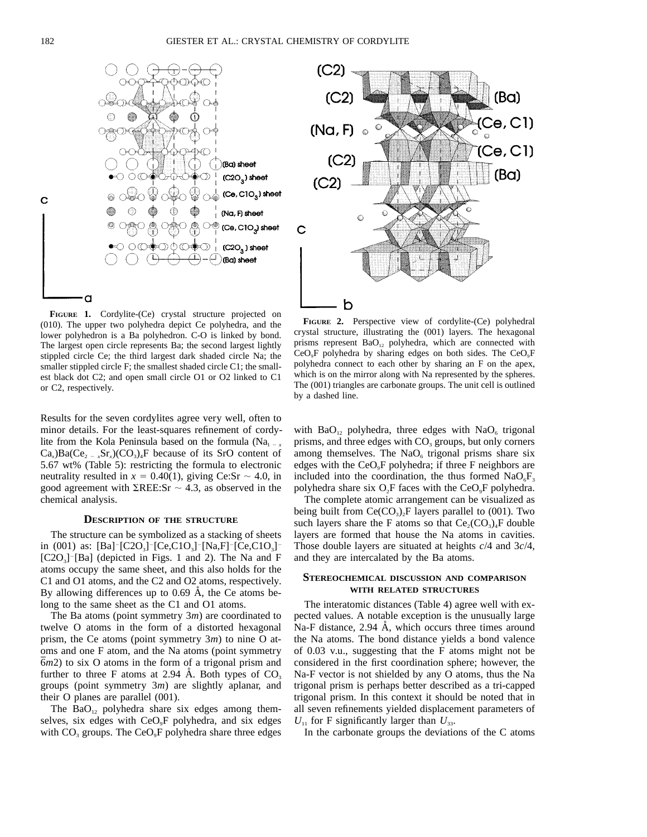

**FIGURE 1.** Cordylite-(Ce) crystal structure projected on (010). The upper two polyhedra depict Ce polyhedra, and the lower polyhedron is a Ba polyhedron. C-O is linked by bond. The largest open circle represents Ba; the second largest lightly stippled circle Ce; the third largest dark shaded circle Na; the smaller stippled circle F; the smallest shaded circle C1; the smallest black dot C2; and open small circle O1 or O2 linked to C1 or C2, respectively.

Results for the seven cordylites agree very well, often to minor details. For the least-squares refinement of cordylite from the Kola Peninsula based on the formula (Na<sub>1 - *x*</sub>  $Ca<sub>x</sub>$ )Ba( $Ce<sub>2</sub> = x<sub>x</sub>$ Sr<sub>x</sub>)(CO<sub>3</sub>)<sub>4</sub>F because of its SrO content of 5.67 wt% (Table 5): restricting the formula to electronic neutrality resulted in  $x = 0.40(1)$ , giving Ce:Sr  $\sim 4.0$ , in good agreement with  $\Sigma$ REE:Sr  $\sim$  4.3, as observed in the chemical analysis.

### **DESCRIPTION OF THE STRUCTURE**

The structure can be symbolized as a stacking of sheets in (001) as:  $[Ba]^{-}[C2O_{3}]^{-}[Ce, C1O_{3}]^{-}[Na, F]^{-}[Ce, C1O_{3}]^{-}$  $[C2O<sub>3</sub>]$ <sup>-</sup>[Ba] (depicted in Figs. 1 and 2). The Na and F atoms occupy the same sheet, and this also holds for the C1 and O1 atoms, and the C2 and O2 atoms, respectively. By allowing differences up to  $0.69$  Å, the Ce atoms belong to the same sheet as the C1 and O1 atoms.

The Ba atoms (point symmetry 3*m*) are coordinated to twelve O atoms in the form of a distorted hexagonal prism, the Ce atoms (point symmetry 3*m*) to nine O atoms and one F atom, and the Na atoms (point symmetry 6*m*2) to six O atoms in the form of a trigonal prism and further to three F atoms at 2.94 Å. Both types of  $CO<sub>3</sub>$ groups (point symmetry 3*m*) are slightly aplanar, and their O planes are parallel (001).

The  $BaO_{12}$  polyhedra share six edges among themselves, six edges with CeO<sub>9</sub>F polyhedra, and six edges with  $CO<sub>3</sub>$  groups. The  $CeO<sub>9</sub>F$  polyhedra share three edges



**FIGURE 2.** Perspective view of cordylite-(Ce) polyhedral crystal structure, illustrating the (001) layers. The hexagonal prisms represent  $BaO_{12}$  polyhedra, which are connected with  $CeO<sub>9</sub>F$  polyhedra by sharing edges on both sides. The  $CeO<sub>9</sub>F$ polyhedra connect to each other by sharing an F on the apex, which is on the mirror along with Na represented by the spheres. The (001) triangles are carbonate groups. The unit cell is outlined by a dashed line.

with  $BaO_{12}$  polyhedra, three edges with  $NaO_6$  trigonal prisms, and three edges with CO<sub>3</sub> groups, but only corners among themselves. The  $NaO<sub>6</sub>$  trigonal prisms share six edges with the  $CeO<sub>9</sub>F$  polyhedra; if three F neighbors are included into the coordination, the thus formed  $NaO<sub>6</sub>F<sub>3</sub>$ polyhedra share six  $O<sub>2</sub>F$  faces with the Ce $O<sub>2</sub>F$  polyhedra.

The complete atomic arrangement can be visualized as being built from  $Ce(CO<sub>3</sub>)<sub>2</sub>F$  layers parallel to (001). Two such layers share the F atoms so that  $Ce_2(CO_3)_4F$  double layers are formed that house the Na atoms in cavities. Those double layers are situated at heights *c*/4 and 3*c*/4, and they are intercalated by the Ba atoms.

## **STEREOCHEMICAL DISCUSSION AND COMPARISON WITH RELATED STRUCTURES**

The interatomic distances (Table 4) agree well with expected values. A notable exception is the unusually large Na-F distance,  $2.94 \text{ Å}$ , which occurs three times around the Na atoms. The bond distance yields a bond valence of 0.03 v.u., suggesting that the F atoms might not be considered in the first coordination sphere; however, the Na-F vector is not shielded by any O atoms, thus the Na trigonal prism is perhaps better described as a tri-capped trigonal prism. In this context it should be noted that in all seven refinements yielded displacement parameters of  $U_{11}$  for F significantly larger than  $U_{33}$ .

In the carbonate groups the deviations of the C atoms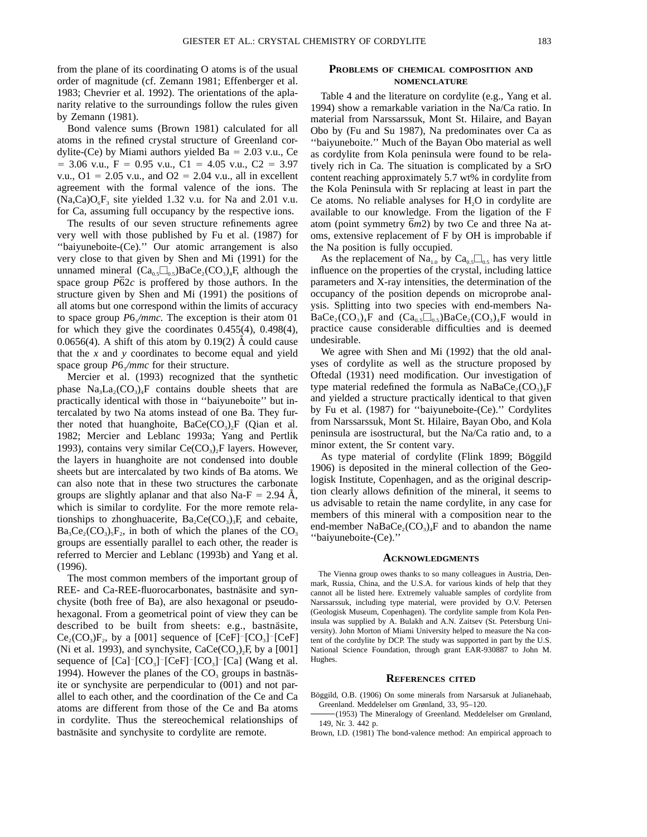from the plane of its coordinating O atoms is of the usual order of magnitude (cf. Zemann 1981; Effenberger et al. 1983; Chevrier et al. 1992). The orientations of the aplanarity relative to the surroundings follow the rules given by Zemann (1981).

Bond valence sums (Brown 1981) calculated for all atoms in the refined crystal structure of Greenland cordylite-(Ce) by Miami authors yielded Ba =  $2.03$  v.u., Ce  $= 3.06$  v.u.,  $F = 0.95$  v.u.,  $C1 = 4.05$  v.u.,  $C2 = 3.97$ v.u.,  $Q_1 = 2.05$  v.u., and  $Q_2 = 2.04$  v.u., all in excellent agreement with the formal valence of the ions. The  $(Na,Ca)O<sub>6</sub>F<sub>3</sub>$  site yielded 1.32 v.u. for Na and 2.01 v.u. for Ca, assuming full occupancy by the respective ions.

The results of our seven structure refinements agree very well with those published by Fu et al. (1987) for ''baiyuneboite-(Ce).'' Our atomic arrangement is also very close to that given by Shen and Mi (1991) for the unnamed mineral  $(Ca_{0.5}\square_{0.5})BaCe_{2}(CO_{3})_{4}F$ , although the space group *P*62*c* is proffered by those authors. In the structure given by Shen and Mi (1991) the positions of all atoms but one correspond within the limits of accuracy to space group  $P6\sqrt{mmc}$ . The exception is their atom 01 for which they give the coordinates 0.455(4), 0.498(4), 0.0656(4). A shift of this atom by 0.19(2)  $\AA$  could cause that the *x* and *y* coordinates to become equal and yield space group *P*6<sub>3</sub>/mmc for their structure.

Mercier et al. (1993) recognized that the synthetic phase  $Na<sub>3</sub>La<sub>2</sub>(CO<sub>3</sub>)<sub>4</sub>F$  contains double sheets that are practically identical with those in ''baiyuneboite'' but intercalated by two Na atoms instead of one Ba. They further noted that huanghoite,  $BaCe(CO<sub>3</sub>)<sub>2</sub>F$  (Qian et al. 1982; Mercier and Leblanc 1993a; Yang and Pertlik 1993), contains very similar  $Ce(CO<sub>3</sub>)<sub>2</sub>F$  layers. However, the layers in huanghoite are not condensed into double sheets but are intercalated by two kinds of Ba atoms. We can also note that in these two structures the carbonate groups are slightly aplanar and that also Na-F = 2.94  $\AA$ , which is similar to cordylite. For the more remote relationships to zhonghuacerite,  $Ba_2Ce(CO_3)$ <sub>3</sub>F, and cebaite,  $Ba_3Ce_2(CO_3)_5F_2$ , in both of which the planes of the CO<sub>3</sub> groups are essentially parallel to each other, the reader is referred to Mercier and Leblanc (1993b) and Yang et al. (1996).

The most common members of the important group of REE- and Ca-REE-fluorocarbonates, bastnäsite and synchysite (both free of Ba), are also hexagonal or pseudohexagonal. From a geometrical point of view they can be described to be built from sheets: e.g., bastnäsite,  $Ce<sub>2</sub>(CO<sub>3</sub>)F<sub>2</sub>$ , by a [001] sequence of [CeF]<sup>-</sup>[CO<sub>3</sub>]<sup>-</sup>[CeF] (Ni et al. 1993), and synchysite,  $CaCe(CO<sub>3</sub>)<sub>2</sub>F$ , by a [001] sequence of  $[Ca]$ <sup>-</sup> $[CO<sub>3</sub>]$ <sup>-</sup> $[CO<sub>3</sub>]$ <sup>-</sup> $[CO<sub>3</sub>]$ <sup>-</sup> $[CO<sub>4</sub>]$  (Wang et al. 1994). However the planes of the  $CO<sub>3</sub>$  groups in bastnäsite or synchysite are perpendicular to (001) and not parallel to each other, and the coordination of the Ce and Ca atoms are different from those of the Ce and Ba atoms in cordylite. Thus the stereochemical relationships of bastnäsite and synchysite to cordylite are remote.

## **PROBLEMS OF CHEMICAL COMPOSITION AND NOMENCLATURE**

Table 4 and the literature on cordylite (e.g., Yang et al. 1994) show a remarkable variation in the Na/Ca ratio. In material from Narssarssuk, Mont St. Hilaire, and Bayan Obo by (Fu and Su 1987), Na predominates over Ca as ''baiyuneboite.'' Much of the Bayan Obo material as well as cordylite from Kola peninsula were found to be relatively rich in Ca. The situation is complicated by a SrO content reaching approximately 5.7 wt% in cordylite from the Kola Peninsula with Sr replacing at least in part the Ce atoms. No reliable analyses for  $H<sub>2</sub>O$  in cordylite are available to our knowledge. From the ligation of the F atom (point symmetry  $\overline{6}m2$ ) by two Ce and three Na atoms, extensive replacement of F by OH is improbable if the Na position is fully occupied.

As the replacement of Na<sub>1.0</sub> by Ca<sub>0.5</sub> $\Box$ <sub>0.5</sub> has very little influence on the properties of the crystal, including lattice parameters and X-ray intensities, the determination of the occupancy of the position depends on microprobe analysis. Splitting into two species with end-members Na- $BaCe_2(CO_3)_4F$  and  $(Ca_{0.5}\square_{0.5})BaCe_2(CO_3)_4F$  would in practice cause considerable difficulties and is deemed undesirable.

We agree with Shen and Mi (1992) that the old analyses of cordylite as well as the structure proposed by Oftedal (1931) need modification. Our investigation of type material redefined the formula as  $NaBaCe<sub>2</sub>(CO<sub>3</sub>)<sub>4</sub>F$ and yielded a structure practically identical to that given by Fu et al. (1987) for ''baiyuneboite-(Ce).'' Cordylites from Narssarssuk, Mont St. Hilaire, Bayan Obo, and Kola peninsula are isostructural, but the Na/Ca ratio and, to a minor extent, the Sr content vary.

As type material of cordylite (Flink 1899; Böggild 1906) is deposited in the mineral collection of the Geologisk Institute, Copenhagen, and as the original description clearly allows definition of the mineral, it seems to us advisable to retain the name cordylite, in any case for members of this mineral with a composition near to the end-member NaBaCe<sub>2</sub>(CO<sub>3</sub>)<sub>4</sub>F and to abandon the name ''baiyuneboite-(Ce).''

#### **ACKNOWLEDGMENTS**

The Vienna group owes thanks to so many colleagues in Austria, Denmark, Russia, China, and the U.S.A. for various kinds of help that they cannot all be listed here. Extremely valuable samples of cordylite from Narssarssuk, including type material, were provided by O.V. Petersen (Geologisk Museum, Copenhagen). The cordylite sample from Kola Peninsula was supplied by A. Bulakh and A.N. Zaitsev (St. Petersburg University). John Morton of Miami University helped to measure the Na content of the cordylite by DCP. The study was supported in part by the U.S. National Science Foundation, through grant EAR-930887 to John M. Hughes.

#### **REFERENCES CITED**

Böggild, O.B. (1906) On some minerals from Narsarsuk at Julianehaab, Greenland. Meddelelser om Grønland, 33, 95–120.

(1953) The Mineralogy of Greenland. Meddelelser om Grønland, 149, Nr. 3. 442 p.

Brown, I.D. (1981) The bond-valence method: An empirical approach to